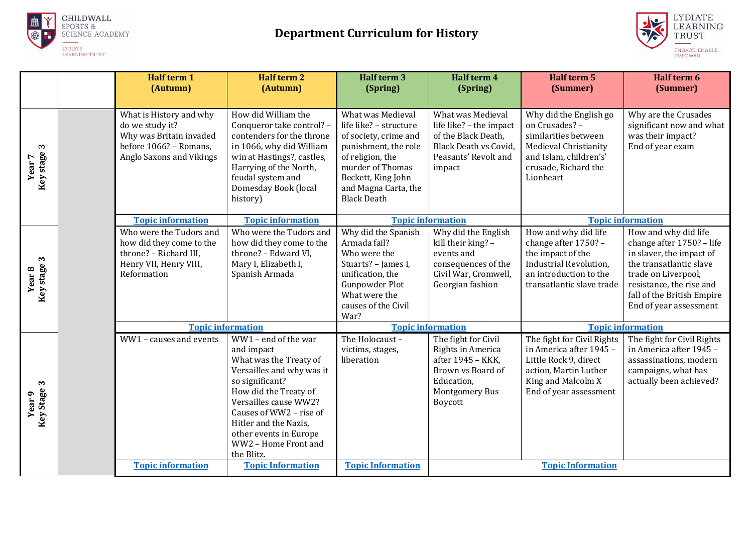



|                                                | <b>Half term 1</b><br>(Autumn)                                                                                              | <b>Half term 2</b><br>(Autumn)                                                                                                                                                                                                                                                     | Half term 3<br>(Spring)                                                                                                                                                                                  | Half term 4<br>(Spring)                                                                                                               | <b>Half term 5</b><br>(Summer)                                                                                                                           | Half term 6<br>(Summer)                                                                                                                                                                                             |
|------------------------------------------------|-----------------------------------------------------------------------------------------------------------------------------|------------------------------------------------------------------------------------------------------------------------------------------------------------------------------------------------------------------------------------------------------------------------------------|----------------------------------------------------------------------------------------------------------------------------------------------------------------------------------------------------------|---------------------------------------------------------------------------------------------------------------------------------------|----------------------------------------------------------------------------------------------------------------------------------------------------------|---------------------------------------------------------------------------------------------------------------------------------------------------------------------------------------------------------------------|
| $\mathbf{c}$<br>Key stage<br>Year <sub>7</sub> | What is History and why<br>do we study it?<br>Why was Britain invaded<br>before 1066? - Romans.<br>Anglo Saxons and Vikings | How did William the<br>Conqueror take control? -<br>contenders for the throne<br>in 1066, why did William<br>win at Hastings?, castles,<br>Harrying of the North,<br>feudal system and<br>Domesday Book (local<br>history)                                                         | What was Medieval<br>life like? - structure<br>of society, crime and<br>punishment, the role<br>of religion, the<br>murder of Thomas<br>Beckett, King John<br>and Magna Carta, the<br><b>Black Death</b> | What was Medieval<br>life like? - the impact<br>of the Black Death,<br><b>Black Death vs Covid,</b><br>Peasants' Revolt and<br>impact | Why did the English go<br>on Crusades? -<br>similarities between<br>Medieval Christianity<br>and Islam, children's'<br>crusade, Richard the<br>Lionheart | Why are the Crusades<br>significant now and what<br>was their impact?<br>End of year exam                                                                                                                           |
|                                                | <b>Topic information</b><br><b>Topic information</b>                                                                        |                                                                                                                                                                                                                                                                                    | <b>Topic information</b>                                                                                                                                                                                 |                                                                                                                                       | <b>Topic information</b>                                                                                                                                 |                                                                                                                                                                                                                     |
| Key stage 3<br>Year <sub>8</sub>               | Who were the Tudors and<br>how did they come to the<br>throne? - Richard III,<br>Henry VII, Henry VIII,<br>Reformation      | Who were the Tudors and<br>how did they come to the<br>throne? - Edward VI,<br>Mary I, Elizabeth I,<br>Spanish Armada                                                                                                                                                              | Why did the Spanish<br>Armada fail?<br>Who were the<br>Stuarts? - James I,<br>unification, the<br>Gunpowder Plot<br>What were the<br>causes of the Civil<br>War?                                         | Why did the English<br>kill their king? -<br>events and<br>consequences of the<br>Civil War, Cromwell,<br>Georgian fashion            | How and why did life<br>change after 1750? -<br>the impact of the<br>Industrial Revolution,<br>an introduction to the<br>transatlantic slave trade       | How and why did life<br>change after 1750? - life<br>in slaver, the impact of<br>the transatlantic slave<br>trade on Liverpool,<br>resistance, the rise and<br>fall of the British Empire<br>End of year assessment |
|                                                | <b>Topic information</b>                                                                                                    |                                                                                                                                                                                                                                                                                    | <b>Topic information</b>                                                                                                                                                                                 |                                                                                                                                       | <b>Topic information</b>                                                                                                                                 |                                                                                                                                                                                                                     |
| Key Stage 3<br>Year <sub>9</sub>               | WW1 - causes and events                                                                                                     | WW1 - end of the war<br>and impact<br>What was the Treaty of<br>Versailles and why was it<br>so significant?<br>How did the Treaty of<br>Versailles cause WW2?<br>Causes of WW2 - rise of<br>Hitler and the Nazis,<br>other events in Europe<br>WW2 - Home Front and<br>the Blitz. | The Holocaust-<br>victims, stages,<br>liberation                                                                                                                                                         | The fight for Civil<br>Rights in America<br>after 1945 - KKK,<br>Brown vs Board of<br>Education,<br><b>Montgomery Bus</b><br>Boycott  | The fight for Civil Rights<br>in America after 1945 -<br>Little Rock 9, direct<br>action, Martin Luther<br>King and Malcolm X<br>End of year assessment  | The fight for Civil Rights<br>in America after 1945 -<br>assassinations, modern<br>campaigns, what has<br>actually been achieved?                                                                                   |
|                                                | <b>Topic information</b><br><b>Topic Information</b><br><b>Topic Information</b>                                            |                                                                                                                                                                                                                                                                                    |                                                                                                                                                                                                          | <b>Topic Information</b>                                                                                                              |                                                                                                                                                          |                                                                                                                                                                                                                     |